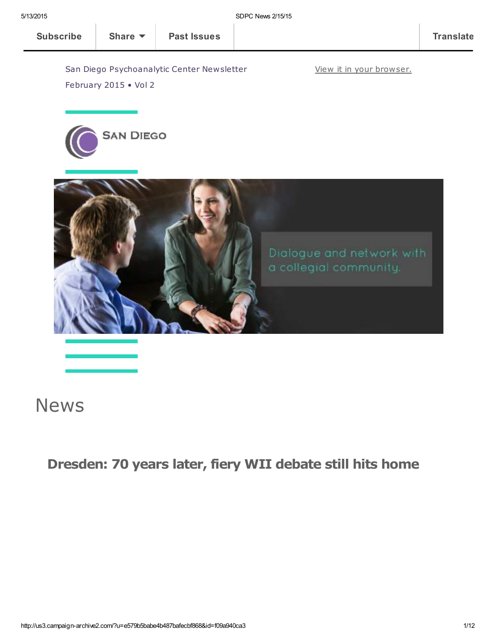View it in your [browser.](http://us3.campaign-archive2.com/?u=e579b5babe4b487bafecbf868&id=f09a940ca3&e=[UNIQID])

San Diego Psychoanalytic Center Newsletter



February 2015 • Vol 2



## **News**

## Dresden: 70 years later, fiery WII debate still hits home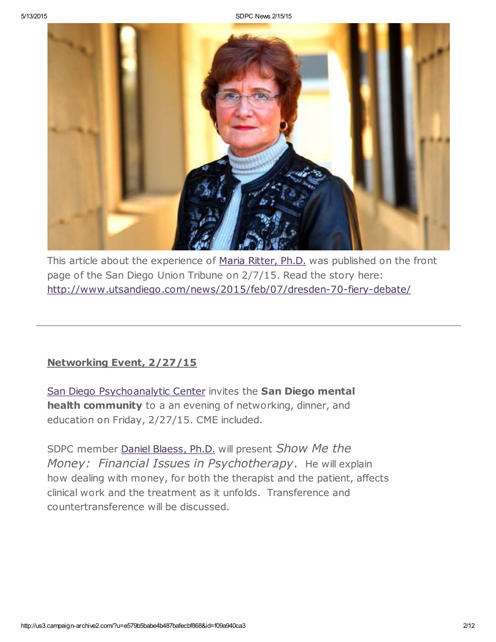

This article about the experience of Maria [Ritter,](http://www.sdpsychoanalyticcenter.org/members/profiles/3#profile-main) Ph.D. was published on the front page of the San Diego Union Tribune on 2/7/15. Read the story here: <http://www.utsandiego.com/news/2015/feb/07/dresden-70-fiery-debate/>

#### Networking Event, 2/27/15

San Diego [Psychoanalytic](http://www.sdpsychoanalyticcenter.org/) Center invites the San Diego mental health community to a an evening of networking, dinner, and education on Friday, 2/27/15. CME included.

SDPC member Daniel [Blaess,](http://www.sdpsychoanalyticcenter.org/members/profiles/32#profile-main) Ph.D. will present Show Me the Money: Financial Issues in Psychotherapy. He will explain how dealing with money, for both the therapist and the patient, affects clinical work and the treatment as it unfolds. Transference and countertransference will be discussed.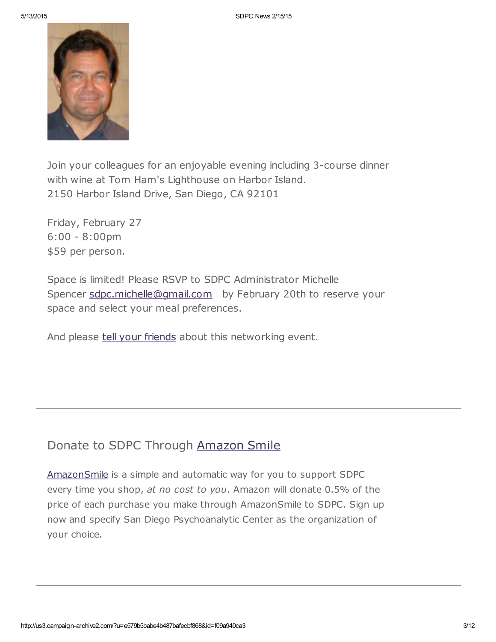

Join your colleagues for an enjoyable evening including 3-course dinner with wine at Tom Ham's Lighthouse on Harbor Island. 2150 Harbor Island Drive, San Diego, CA 92101

Friday, February 27 6:00 - 8:00pm \$59 per person.

Space is limited! Please RSVP to SDPC Administrator Michelle Spencer [sdpc.michelle@gmail.com](mailto:sdpc.michelle@gmail.com) by February 20th to reserve your space and select your meal preferences.

And please tell your [friends](mailto:?subject=Show%20me%20the%20money%20-%20SDPC%20networking%20event%202%2F27%2F15&body=Greetings.%20Check%20out%20this%20upcoming%20networking%20event%20open%20to%20any%20San%20Diego%20mental%20health%20professional.%20%0A___%0ASan%20Diego%20Psychoanalytic%20Center%20invites%20the%20San%20Diego%20mental%20health%20community%20to%20a%20an%20evening%20of%20networking%2C%20dinner%2C%20and%20education%20on%20Friday%2C%202%2F27%2F15.%20CME%20included.%20%20%0A%20%0ASDPC%20member%20Daniel%20Blaess%2C%20Ph.D.%20will%20present%20Show%20Me%20the%20Money%3A%20%20Financial%20Issues%20in%20Psychotherapy.%20%20He%20will%20explain%20how%20dealing%20with%20money%2C%20for%20both%20the%20therapist%20and%20the%20patient%2C%20affects%20clinical%20work%20and%20the%20treatment%20as%20it%20unfolds.%20%20Transference%20and%20countertransference%20will%20be%20discussed.%0A%20%0AJoin%20your%20colleagues%20for%20an%20enjoyable%20evening%20including%203-course%20dinner%20with%20wine%20at%20Tom%20Ham%27s%20Lighthouse%20on%20Harbor%20Island.%0A2150%20Harbor%20Island%20Drive%2C%20San%20Diego%2C%20CA%2092101%0A%20%0AFriday%2C%20February%2027%0A6%3A00%20-%208%3A00pm%0A%2459%20per%20person.%0A%20%0ASpace%20is%20limited!%20Please%20RSVP%20to%20SDPC%20Administrator%20Michelle%20Spencer%20sdpc.michelle%40gmail.com%20%20%20by%20February%2020th%20to%20reserve%20your%20space%20and%20select%20your%20meal%20preferences.%20%0A%0AAnd%20please%20tell%20your%20friends%20about%20this%20networking%20event.%20) about this networking event.

### Donate to SDPC Through [Amazon](http://www.sdpsychoanalyticcenter.org/node/395#overlay-context=node/395) Smile

[AmazonSmile](http://smile.amazon.com/about) is a simple and automatic way for you to support SDPC every time you shop, at no cost to you. Amazon will donate 0.5% of the price of each purchase you make through AmazonSmile to SDPC. Sign up now and specify San Diego Psychoanalytic Center as the organization of your choice.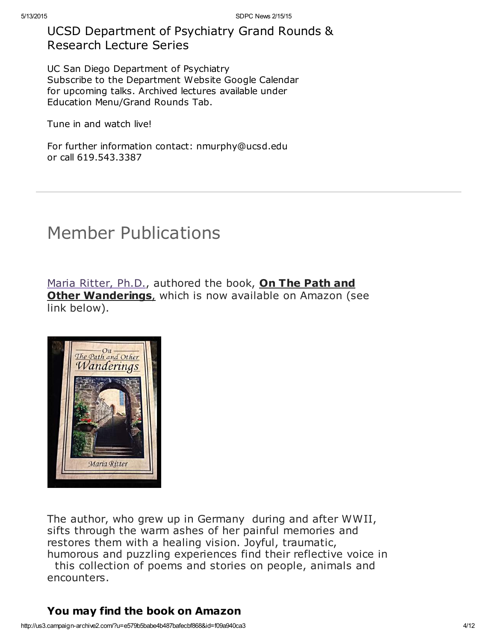## UCSD Department of Psychiatry Grand Rounds & Research Lecture Series

UC San Diego Department of Psychiatry Subscribe to the Department Website Google Calendar for upcoming talks. Archived lectures available under Education Menu/Grand Rounds Tab.

Tune in and watch live!

For further information contact: nmurphy@ucsd.edu or call 619.543.3387

## Member Publications

Maria [Ritter,](http://www.sdpsychoanalyticcenter.org/members/profiles/3#profile-main) Ph.D., authored the book, On The Path and Other Wanderings, which is now available on Amazon (see link below).



The author, who grew up in Germany during and after WWII, sifts through the warm ashes of her painful memories and restores them with a healing vision. Joyful, traumatic, humorous and puzzling experiences find their reflective voice in

this collection of poems and stories on people, animals and encounters.

### You may find the book on Amazon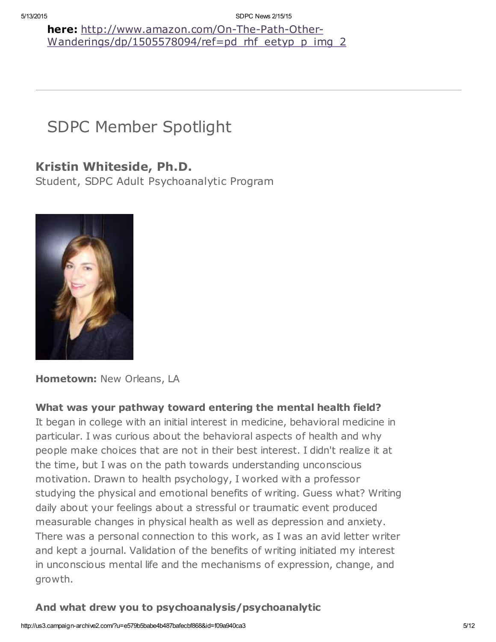here: http://www.amazon.com/On-The-Path-Other-[Wanderings/dp/1505578094/ref=pd\\_rhf\\_eetyp\\_p\\_img\\_2](http://www.amazon.com/On-The-Path-Other-Wanderings/dp/1505578094/ref=pd_rhf_eetyp_p_img_2)

# SDPC Member Spotlight

## Kristin Whiteside, Ph.D.

Student, SDPC Adult Psychoanalytic Program



Hometown: New Orleans, LA

### What was your pathway toward entering the mental health field?

It began in college with an initial interest in medicine, behavioral medicine in particular. I was curious about the behavioral aspects of health and why people make choices that are not in their best interest. I didn't realize it at the time, but I was on the path towards understanding unconscious motivation. Drawn to health psychology, I worked with a professor studying the physical and emotional benefits of writing. Guess what? Writing daily about your feelings about a stressful or traumatic event produced measurable changes in physical health as well as depression and anxiety. There was a personal connection to this work, as I was an avid letter writer and kept a journal. Validation of the benefits of writing initiated my interest in unconscious mental life and the mechanisms of expression, change, and growth.

### And what drew you to psychoanalysis/psychoanalytic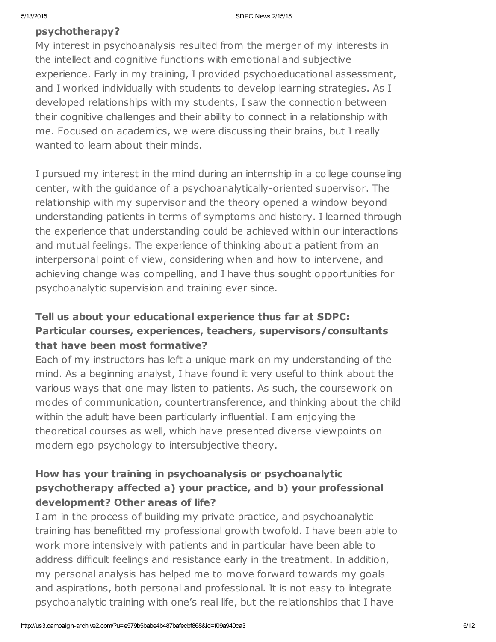#### psychotherapy?

My interest in psychoanalysis resulted from the merger of my interests in the intellect and cognitive functions with emotional and subjective experience. Early in my training, I provided psychoeducational assessment, and I worked individually with students to develop learning strategies. As I developed relationships with my students, I saw the connection between their cognitive challenges and their ability to connect in a relationship with me. Focused on academics, we were discussing their brains, but I really wanted to learn about their minds.

I pursued my interest in the mind during an internship in a college counseling center, with the guidance of a psychoanalytically-oriented supervisor. The relationship with my supervisor and the theory opened a window beyond understanding patients in terms of symptoms and history. I learned through the experience that understanding could be achieved within our interactions and mutual feelings. The experience of thinking about a patient from an interpersonal point of view, considering when and how to intervene, and achieving change was compelling, and I have thus sought opportunities for psychoanalytic supervision and training ever since.

### Tell us about your educational experience thus far at SDPC: Particular courses, experiences, teachers, supervisors/consultants that have been most formative?

Each of my instructors has left a unique mark on my understanding of the mind. As a beginning analyst, I have found it very useful to think about the various ways that one may listen to patients. As such, the coursework on modes of communication, countertransference, and thinking about the child within the adult have been particularly influential. I am enjoying the theoretical courses as well, which have presented diverse viewpoints on modern ego psychology to intersubjective theory.

### How has your training in psychoanalysis or psychoanalytic psychotherapy affected a) your practice, and b) your professional development? Other areas of life?

I am in the process of building my private practice, and psychoanalytic training has benefitted my professional growth twofold. I have been able to work more intensively with patients and in particular have been able to address difficult feelings and resistance early in the treatment. In addition, my personal analysis has helped me to move forward towards my goals and aspirations, both personal and professional. It is not easy to integrate psychoanalytic training with one's real life, but the relationships that I have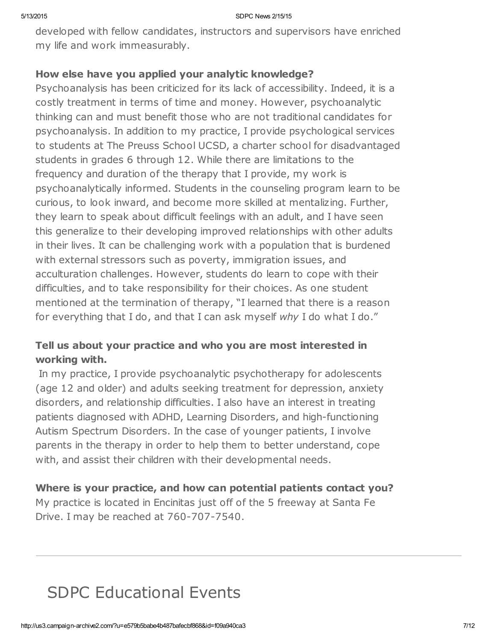developed with fellow candidates, instructors and supervisors have enriched my life and work immeasurably.

#### How else have you applied your analytic knowledge?

Psychoanalysis has been criticized for its lack of accessibility. Indeed, it is a costly treatment in terms of time and money. However, psychoanalytic thinking can and must benefit those who are not traditional candidates for psychoanalysis. In addition to my practice, I provide psychological services to students at The Preuss School UCSD, a charter school for disadvantaged students in grades 6 through 12. While there are limitations to the frequency and duration of the therapy that I provide, my work is psychoanalytically informed. Students in the counseling program learn to be curious, to look inward, and become more skilled at mentalizing. Further, they learn to speak about difficult feelings with an adult, and I have seen this generalize to their developing improved relationships with other adults in their lives. It can be challenging work with a population that is burdened with external stressors such as poverty, immigration issues, and acculturation challenges. However, students do learn to cope with their difficulties, and to take responsibility for their choices. As one student mentioned at the termination of therapy, "I learned that there is a reason for everything that I do, and that I can ask myself why I do what I do."

### Tell us about your practice and who you are most interested in working with.

In my practice, I provide psychoanalytic psychotherapy for adolescents (age 12 and older) and adults seeking treatment for depression, anxiety disorders, and relationship difficulties. I also have an interest in treating patients diagnosed with ADHD, Learning Disorders, and high-functioning Autism Spectrum Disorders. In the case of younger patients, I involve parents in the therapy in order to help them to better understand, cope with, and assist their children with their developmental needs.

### Where is your practice, and how can potential patients contact you?

My practice is located in Encinitas just off of the 5 freeway at Santa Fe Drive. I may be reached at 760-707-7540.

# SDPC Educational Events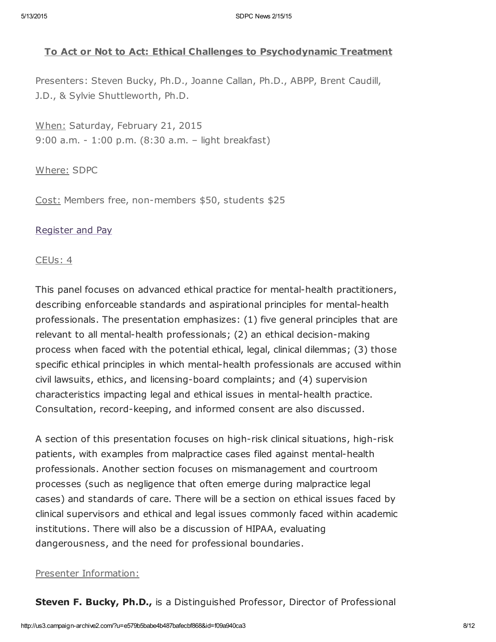#### To Act or Not to Act: Ethical Challenges to Psychodynamic Treatment

Presenters: Steven Bucky, Ph.D., Joanne Callan, Ph.D., ABPP, Brent Caudill, J.D., & Sylvie Shuttleworth, Ph.D.

When: Saturday, February 21, 2015 9:00 a.m. - 1:00 p.m. (8:30 a.m. – light breakfast)

#### Where: SDPC

Cost: Members free, non-members \$50, students \$25

#### [Register](http://www.sdpsychoanalyticcenter.org/register-and-pay-online) and Pay

#### CEUs: 4

This panel focuses on advanced ethical practice for mental-health practitioners, describing enforceable standards and aspirational principles for mental-health professionals. The presentation emphasizes: (1) five general principles that are relevant to all mental-health professionals; (2) an ethical decision-making process when faced with the potential ethical, legal, clinical dilemmas; (3) those specific ethical principles in which mental-health professionals are accused within civil lawsuits, ethics, and licensing-board complaints; and (4) supervision characteristics impacting legal and ethical issues in mental-health practice. Consultation, record-keeping, and informed consent are also discussed.

A section of this presentation focuses on high-risk clinical situations, high-risk patients, with examples from malpractice cases filed against mental-health professionals. Another section focuses on mismanagement and courtroom processes (such as negligence that often emerge during malpractice legal cases) and standards of care. There will be a section on ethical issues faced by clinical supervisors and ethical and legal issues commonly faced within academic institutions. There will also be a discussion of HIPAA, evaluating dangerousness, and the need for professional boundaries.

#### Presenter Information:

**Steven F. Bucky, Ph.D.,** is a Distinguished Professor, Director of Professional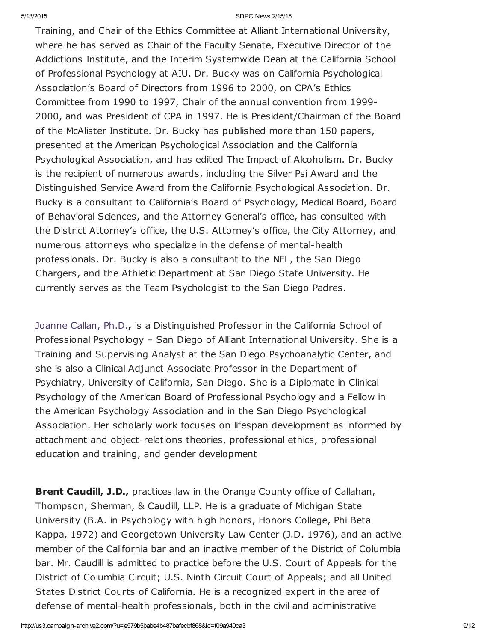Training, and Chair of the Ethics Committee at Alliant International University, where he has served as Chair of the Faculty Senate, Executive Director of the Addictions Institute, and the Interim Systemwide Dean at the California School of Professional Psychology at AIU. Dr. Bucky was on California Psychological Association's Board of Directors from 1996 to 2000, on CPA's Ethics Committee from 1990 to 1997, Chair of the annual convention from 1999- 2000, and was President of CPA in 1997. He is President/Chairman of the Board of the McAlister Institute. Dr. Bucky has published more than 150 papers, presented at the American Psychological Association and the California Psychological Association, and has edited The Impact of Alcoholism. Dr. Bucky is the recipient of numerous awards, including the Silver Psi Award and the Distinguished Service Award from the California Psychological Association. Dr. Bucky is a consultant to California's Board of Psychology, Medical Board, Board of Behavioral Sciences, and the Attorney General's office, has consulted with the District Attorney's office, the U.S. Attorney's office, the City Attorney, and numerous attorneys who specialize in the defense of mental-health professionals. Dr. Bucky is also a consultant to the NFL, the San Diego Chargers, and the Athletic Department at San Diego State University. He currently serves as the Team Psychologist to the San Diego Padres.

[Joanne](http://www.sdpsychoanalyticcenter.org/members/profiles/19#profile-main) Callan, Ph.D., is a Distinguished Professor in the California School of Professional Psychology – San Diego of Alliant International University. She is a Training and Supervising Analyst at the San Diego Psychoanalytic Center, and she is also a Clinical Adjunct Associate Professor in the Department of Psychiatry, University of California, San Diego. She is a Diplomate in Clinical Psychology of the American Board of Professional Psychology and a Fellow in the American Psychology Association and in the San Diego Psychological Association. Her scholarly work focuses on lifespan development as informed by attachment and object-relations theories, professional ethics, professional education and training, and gender development

**Brent Caudill, J.D., practices law in the Orange County office of Callahan,** Thompson, Sherman, & Caudill, LLP. He is a graduate of Michigan State University (B.A. in Psychology with high honors, Honors College, Phi Beta Kappa, 1972) and Georgetown University Law Center (J.D. 1976), and an active member of the California bar and an inactive member of the District of Columbia bar. Mr. Caudill is admitted to practice before the U.S. Court of Appeals for the District of Columbia Circuit; U.S. Ninth Circuit Court of Appeals; and all United States District Courts of California. He is a recognized expert in the area of defense of mental-health professionals, both in the civil and administrative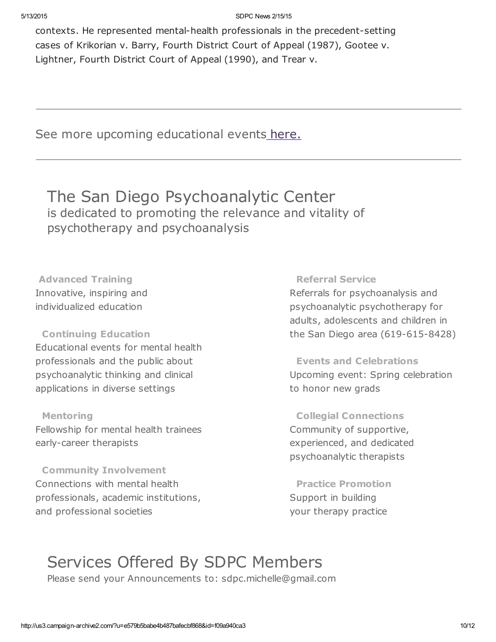contexts. He represented mental-health professionals in the precedent-setting cases of Krikorian v. Barry, Fourth District Court of Appeal (1987), Gootee v. Lightner, Fourth District Court of Appeal (1990), and Trear v.

See more upcoming educational events [here.](http://www.sdpsychoanalyticcenter.org/community-connections/upcoming-events)

## The San Diego Psychoanalytic Center is dedicated to promoting the relevance and vitality of psychotherapy and psychoanalysis

Advanced Training Innovative, inspiring and individualized education

#### Continuing Education

Educational events for mental health professionals and the public about psychoanalytic thinking and clinical applications in diverse settings

Mentoring Fellowship for mental health trainees early-career therapists

Community Involvement Connections with mental health professionals, academic institutions, and professional societies

#### Referral Service

Referrals for psychoanalysis and psychoanalytic psychotherapy for adults, adolescents and children in the San Diego area (619-615-8428)

Events and Celebrations Upcoming event: Spring celebration to honor new grads

Collegial Connections Community of supportive, experienced, and dedicated psychoanalytic therapists

Practice Promotion Support in building your therapy practice

## Services Offered By SDPC Members

Please send your Announcements to: sdpc.michelle@gmail.com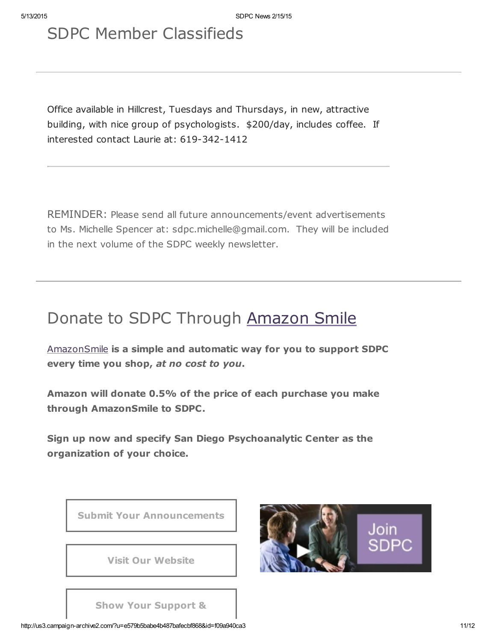# SDPC Member Classifieds

Office available in Hillcrest, Tuesdays and Thursdays, in new, attractive building, with nice group of psychologists. \$200/day, includes coffee. If interested contact Laurie at: 619-342-1412

REMINDER: Please send all future announcements/event advertisements to Ms. Michelle Spencer at: sdpc.michelle@gmail.com. They will be included in the next volume of the SDPC weekly newsletter.

# Donate to SDPC Through [Amazon](http://www.sdpsychoanalyticcenter.org/node/395#overlay-context=node/395) Smile

[AmazonSmile](http://smile.amazon.com/about) is a simple and automatic way for you to support SDPC every time you shop, at no cost to you.

Amazon will donate 0.5% of the price of each purchase you make through AmazonSmile to SDPC.

Sign up now and specify San Diego Psychoanalytic Center as the organization of your choice.





Show Your Support &